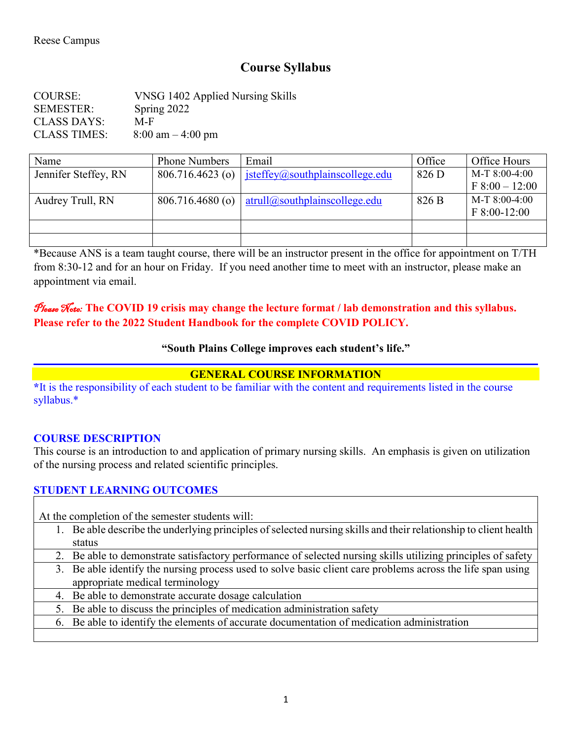# **Course Syllabus**

COURSE: VNSG 1402 Applied Nursing Skills SEMESTER: Spring 2022 CLASS DAYS: M-F CLASS TIMES:  $8:00 \text{ am} - 4:00 \text{ pm}$ 

| Name                 | <b>Phone Numbers</b> | Email                           | Office | Office Hours     |
|----------------------|----------------------|---------------------------------|--------|------------------|
| Jennifer Steffey, RN | $806.716.4623$ (o)   | jsteffey@southplainscollege.edu | 826 D  | $M-T$ 8:00-4:00  |
|                      |                      |                                 |        | $F 8:00 - 12:00$ |
| Audrey Trull, RN     | $806.716.4680$ (o)   | atrull@southplain scollege.edu  | 826 B  | $M-T$ 8:00-4:00  |
|                      |                      |                                 |        | $F 8:00-12:00$   |
|                      |                      |                                 |        |                  |
|                      |                      |                                 |        |                  |

\*Because ANS is a team taught course, there will be an instructor present in the office for appointment on T/TH from 8:30-12 and for an hour on Friday. If you need another time to meet with an instructor, please make an appointment via email.

### Please Note: **The COVID 19 crisis may change the lecture format / lab demonstration and this syllabus. Please refer to the 2022 Student Handbook for the complete COVID POLICY.**

### **"South Plains College improves each student's life."**

### **GENERAL COURSE INFORMATION**

**\***It is the responsibility of each student to be familiar with the content and requirements listed in the course syllabus.\*

### **COURSE DESCRIPTION**

This course is an introduction to and application of primary nursing skills. An emphasis is given on utilization of the nursing process and related scientific principles.

### **STUDENT LEARNING OUTCOMES**

At the completion of the semester students will:

- 1. Be able describe the underlying principles of selected nursing skills and their relationship to client health status
- 2. Be able to demonstrate satisfactory performance of selected nursing skills utilizing principles of safety
- 3. Be able identify the nursing process used to solve basic client care problems across the life span using appropriate medical terminology
- 4. Be able to demonstrate accurate dosage calculation
- 5. Be able to discuss the principles of medication administration safety
- 6. Be able to identify the elements of accurate documentation of medication administration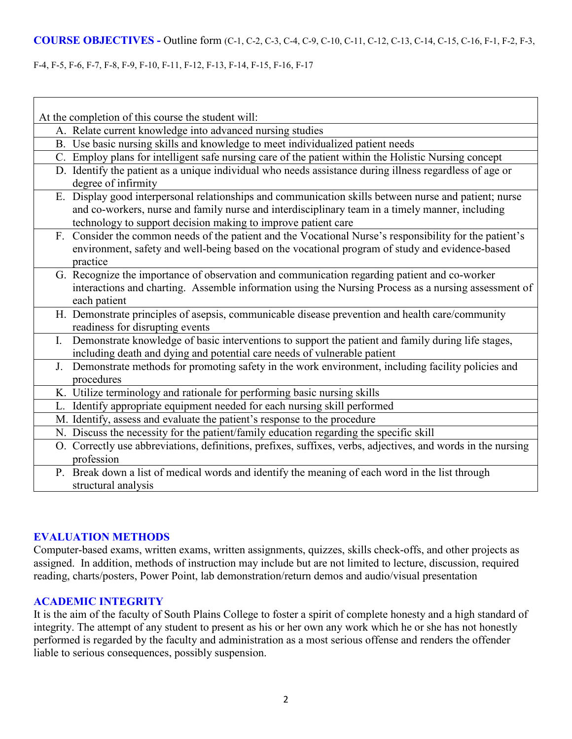#### F-4, F-5, F-6, F-7, F-8, F-9, F-10, F-11, F-12, F-13, F-14, F-15, F-16, F-17

Г

| At the completion of this course the student will:                                                                                                                                                                                                                        |  |  |  |  |
|---------------------------------------------------------------------------------------------------------------------------------------------------------------------------------------------------------------------------------------------------------------------------|--|--|--|--|
| A. Relate current knowledge into advanced nursing studies                                                                                                                                                                                                                 |  |  |  |  |
| B. Use basic nursing skills and knowledge to meet individualized patient needs                                                                                                                                                                                            |  |  |  |  |
| C. Employ plans for intelligent safe nursing care of the patient within the Holistic Nursing concept                                                                                                                                                                      |  |  |  |  |
| D. Identify the patient as a unique individual who needs assistance during illness regardless of age or<br>degree of infirmity                                                                                                                                            |  |  |  |  |
| E. Display good interpersonal relationships and communication skills between nurse and patient; nurse<br>and co-workers, nurse and family nurse and interdisciplinary team in a timely manner, including<br>technology to support decision making to improve patient care |  |  |  |  |
| F. Consider the common needs of the patient and the Vocational Nurse's responsibility for the patient's<br>environment, safety and well-being based on the vocational program of study and evidence-based<br>practice                                                     |  |  |  |  |
| G. Recognize the importance of observation and communication regarding patient and co-worker<br>interactions and charting. Assemble information using the Nursing Process as a nursing assessment of<br>each patient                                                      |  |  |  |  |
| H. Demonstrate principles of asepsis, communicable disease prevention and health care/community<br>readiness for disrupting events                                                                                                                                        |  |  |  |  |
| I. Demonstrate knowledge of basic interventions to support the patient and family during life stages,<br>including death and dying and potential care needs of vulnerable patient                                                                                         |  |  |  |  |
| J. Demonstrate methods for promoting safety in the work environment, including facility policies and<br>procedures                                                                                                                                                        |  |  |  |  |
| K. Utilize terminology and rationale for performing basic nursing skills                                                                                                                                                                                                  |  |  |  |  |
| L. Identify appropriate equipment needed for each nursing skill performed                                                                                                                                                                                                 |  |  |  |  |
| M. Identify, assess and evaluate the patient's response to the procedure                                                                                                                                                                                                  |  |  |  |  |
| N. Discuss the necessity for the patient/family education regarding the specific skill                                                                                                                                                                                    |  |  |  |  |
| O. Correctly use abbreviations, definitions, prefixes, suffixes, verbs, adjectives, and words in the nursing<br>profession                                                                                                                                                |  |  |  |  |
| P. Break down a list of medical words and identify the meaning of each word in the list through<br>structural analysis                                                                                                                                                    |  |  |  |  |

### **EVALUATION METHODS**

Computer-based exams, written exams, written assignments, quizzes, skills check-offs, and other projects as assigned. In addition, methods of instruction may include but are not limited to lecture, discussion, required reading, charts/posters, Power Point, lab demonstration/return demos and audio/visual presentation

#### **ACADEMIC INTEGRITY**

It is the aim of the faculty of South Plains College to foster a spirit of complete honesty and a high standard of integrity. The attempt of any student to present as his or her own any work which he or she has not honestly performed is regarded by the faculty and administration as a most serious offense and renders the offender liable to serious consequences, possibly suspension.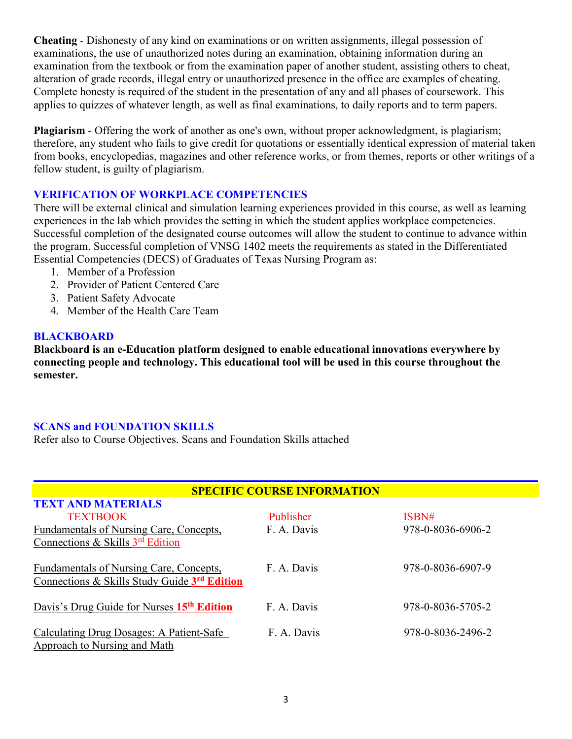**Cheating** - Dishonesty of any kind on examinations or on written assignments, illegal possession of examinations, the use of unauthorized notes during an examination, obtaining information during an examination from the textbook or from the examination paper of another student, assisting others to cheat, alteration of grade records, illegal entry or unauthorized presence in the office are examples of cheating. Complete honesty is required of the student in the presentation of any and all phases of coursework. This applies to quizzes of whatever length, as well as final examinations, to daily reports and to term papers.

**Plagiarism** - Offering the work of another as one's own, without proper acknowledgment, is plagiarism; therefore, any student who fails to give credit for quotations or essentially identical expression of material taken from books, encyclopedias, magazines and other reference works, or from themes, reports or other writings of a fellow student, is guilty of plagiarism.

## **VERIFICATION OF WORKPLACE COMPETENCIES**

There will be external clinical and simulation learning experiences provided in this course, as well as learning experiences in the lab which provides the setting in which the student applies workplace competencies. Successful completion of the designated course outcomes will allow the student to continue to advance within the program. Successful completion of VNSG 1402 meets the requirements as stated in the Differentiated Essential Competencies (DECS) of Graduates of Texas Nursing Program as:

- 1. Member of a Profession
- 2. Provider of Patient Centered Care
- 3. Patient Safety Advocate
- 4. Member of the Health Care Team

### **BLACKBOARD**

**Blackboard is an e-Education platform designed to enable educational innovations everywhere by connecting people and technology. This educational tool will be used in this course throughout the semester.** 

### **SCANS and FOUNDATION SKILLS**

Refer also to Course Objectives. Scans and Foundation Skills attached

| <b>SPECIFIC COURSE INFORMATION</b>                                                             |             |                   |  |  |  |
|------------------------------------------------------------------------------------------------|-------------|-------------------|--|--|--|
| <b>TEXT AND MATERIALS</b><br><b>TEXTBOOK</b>                                                   | Publisher   | ISBN#             |  |  |  |
| Fundamentals of Nursing Care, Concepts,<br>Connections & Skills $3rd$ Edition                  | F. A. Davis | 978-0-8036-6906-2 |  |  |  |
| <b>Fundamentals of Nursing Care, Concepts,</b><br>Connections & Skills Study Guide 3rd Edition | F. A. Davis | 978-0-8036-6907-9 |  |  |  |
| Davis's Drug Guide for Nurses 15 <sup>th</sup> Edition                                         | F. A. Davis | 978-0-8036-5705-2 |  |  |  |
| <b>Calculating Drug Dosages: A Patient-Safe</b><br>Approach to Nursing and Math                | F. A. Davis | 978-0-8036-2496-2 |  |  |  |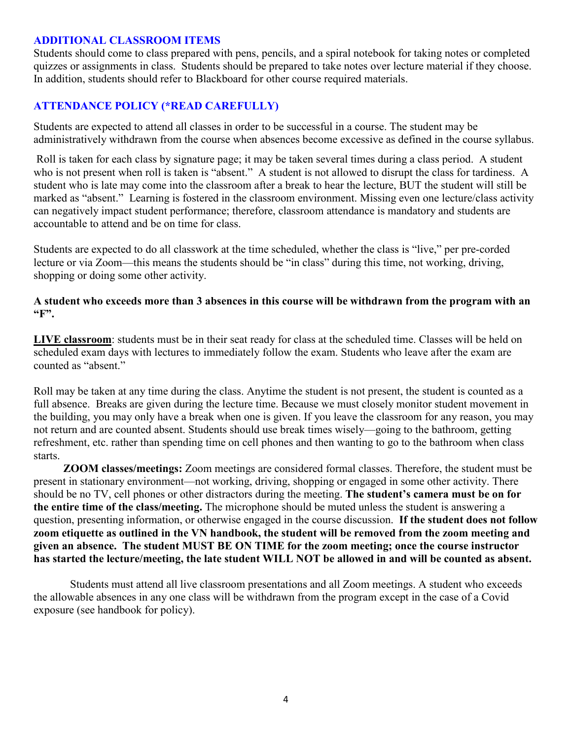#### **ADDITIONAL CLASSROOM ITEMS**

Students should come to class prepared with pens, pencils, and a spiral notebook for taking notes or completed quizzes or assignments in class. Students should be prepared to take notes over lecture material if they choose. In addition, students should refer to Blackboard for other course required materials.

## **ATTENDANCE POLICY (\*READ CAREFULLY)**

Students are expected to attend all classes in order to be successful in a course. The student may be administratively withdrawn from the course when absences become excessive as defined in the course syllabus.

Roll is taken for each class by signature page; it may be taken several times during a class period. A student who is not present when roll is taken is "absent." A student is not allowed to disrupt the class for tardiness. A student who is late may come into the classroom after a break to hear the lecture, BUT the student will still be marked as "absent." Learning is fostered in the classroom environment. Missing even one lecture/class activity can negatively impact student performance; therefore, classroom attendance is mandatory and students are accountable to attend and be on time for class.

Students are expected to do all classwork at the time scheduled, whether the class is "live," per pre-corded lecture or via Zoom—this means the students should be "in class" during this time, not working, driving, shopping or doing some other activity.

### **A student who exceeds more than 3 absences in this course will be withdrawn from the program with an "F".**

**LIVE classroom**: students must be in their seat ready for class at the scheduled time. Classes will be held on scheduled exam days with lectures to immediately follow the exam. Students who leave after the exam are counted as "absent."

Roll may be taken at any time during the class. Anytime the student is not present, the student is counted as a full absence. Breaks are given during the lecture time. Because we must closely monitor student movement in the building, you may only have a break when one is given. If you leave the classroom for any reason, you may not return and are counted absent. Students should use break times wisely—going to the bathroom, getting refreshment, etc. rather than spending time on cell phones and then wanting to go to the bathroom when class starts.

 **ZOOM classes/meetings:** Zoom meetings are considered formal classes. Therefore, the student must be present in stationary environment—not working, driving, shopping or engaged in some other activity. There should be no TV, cell phones or other distractors during the meeting. **The student's camera must be on for the entire time of the class/meeting.** The microphone should be muted unless the student is answering a question, presenting information, or otherwise engaged in the course discussion. **If the student does not follow zoom etiquette as outlined in the VN handbook, the student will be removed from the zoom meeting and given an absence. The student MUST BE ON TIME for the zoom meeting; once the course instructor has started the lecture/meeting, the late student WILL NOT be allowed in and will be counted as absent.**

Students must attend all live classroom presentations and all Zoom meetings. A student who exceeds the allowable absences in any one class will be withdrawn from the program except in the case of a Covid exposure (see handbook for policy).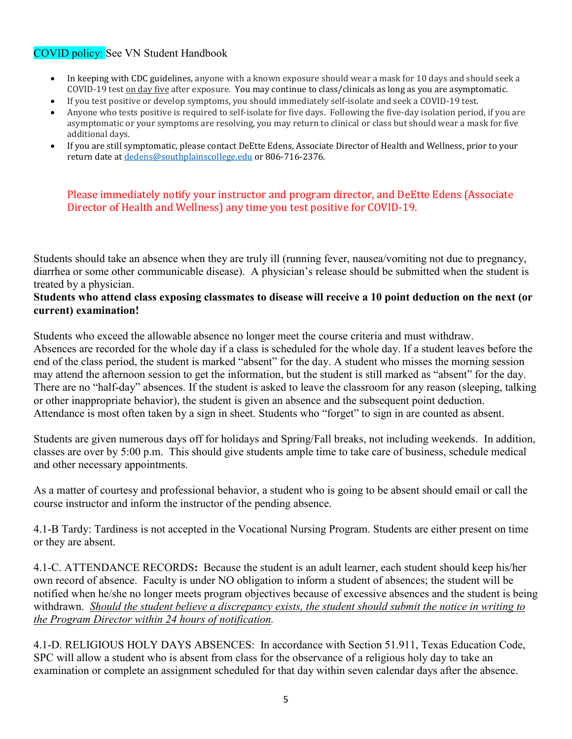## COVID policy: See VN Student Handbook

- In keeping with CDC guidelines, anyone with a known exposure should wear a mask for 10 days and should seek a COVID-19 test on day five after exposure. You may continue to class/clinicals as long as you are asymptomatic.
- If you test positive or develop symptoms, you should immediately self-isolate and seek a COVID-19 test.
- Anyone who tests positive is required to self-isolate for five days. Following the five-day isolation period, if you are asymptomatic or your symptoms are resolving, you may return to clinical or class but should wear a mask for five additional days.
- If you are still symptomatic, please contact DeEtte Edens, Associate Director of Health and Wellness, prior to your return date at [dedens@southplainscollege.edu](mailto:dedens@southplainscollege.edu) or 806-716-2376.

### Please immediately notify your instructor and program director, and DeEtte Edens (Associate Director of Health and Wellness) any time you test positive for COVID-19.

Students should take an absence when they are truly ill (running fever, nausea/vomiting not due to pregnancy, diarrhea or some other communicable disease). A physician's release should be submitted when the student is treated by a physician.

#### **Students who attend class exposing classmates to disease will receive a 10 point deduction on the next (or current) examination!**

Students who exceed the allowable absence no longer meet the course criteria and must withdraw. Absences are recorded for the whole day if a class is scheduled for the whole day. If a student leaves before the end of the class period, the student is marked "absent" for the day. A student who misses the morning session may attend the afternoon session to get the information, but the student is still marked as "absent" for the day. There are no "half-day" absences. If the student is asked to leave the classroom for any reason (sleeping, talking or other inappropriate behavior), the student is given an absence and the subsequent point deduction. Attendance is most often taken by a sign in sheet. Students who "forget" to sign in are counted as absent.

Students are given numerous days off for holidays and Spring/Fall breaks, not including weekends. In addition, classes are over by 5:00 p.m. This should give students ample time to take care of business, schedule medical and other necessary appointments.

As a matter of courtesy and professional behavior, a student who is going to be absent should email or call the course instructor and inform the instructor of the pending absence.

4.1-B Tardy: Tardiness is not accepted in the Vocational Nursing Program. Students are either present on time or they are absent.

4.1-C. ATTENDANCE RECORDS**:** Because the student is an adult learner, each student should keep his/her own record of absence. Faculty is under NO obligation to inform a student of absences; the student will be notified when he/she no longer meets program objectives because of excessive absences and the student is being withdrawn. *Should the student believe a discrepancy exists, the student should submit the notice in writing to the Program Director within 24 hours of notification.*

4.1-D. RELIGIOUS HOLY DAYS ABSENCES: In accordance with Section 51.911, Texas Education Code, SPC will allow a student who is absent from class for the observance of a religious holy day to take an examination or complete an assignment scheduled for that day within seven calendar days after the absence.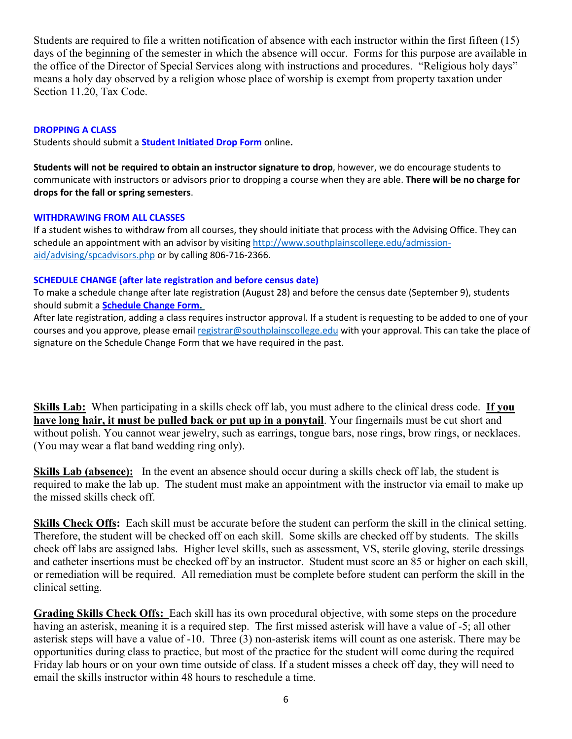Students are required to file a written notification of absence with each instructor within the first fifteen (15) days of the beginning of the semester in which the absence will occur. Forms for this purpose are available in the office of the Director of Special Services along with instructions and procedures. "Religious holy days" means a holy day observed by a religion whose place of worship is exempt from property taxation under Section 11.20, Tax Code.

#### **DROPPING A CLASS**

Students should submit a **Student [Initiated](https://forms.office.com/Pages/ResponsePage.aspx?id=ZrGRbWrP6UWeIqAmJdCCqRkmPIpp6AVCixFJfcqITt9UODExTUFXS0JOODhJOTlYM0NEV1kzRk9GMS4u) Drop Form** online**.**

**Students will not be required to obtain an instructor signature to drop**, however, we do encourage students to communicate with instructors or advisors prior to dropping a course when they are able. **There will be no charge for drops for the fall or spring semesters**.

#### **WITHDRAWING FROM ALL CLASSES**

If a student wishes to withdraw from all courses, they should initiate that process with the Advising Office. They can schedule an appointment with an advisor by visiting [http://www.southplainscollege.edu/admission](http://www.southplainscollege.edu/admission-aid/advising/spcadvisors.php)[aid/advising/spcadvisors.php](http://www.southplainscollege.edu/admission-aid/advising/spcadvisors.php) or by calling 806-716-2366.

#### **SCHEDULE CHANGE (after late registration and before census date)**

To make a schedule change after late registration (August 28) and before the census date (September 9), students should submit a **[Schedule](https://forms.office.com/Pages/ResponsePage.aspx?id=ZrGRbWrP6UWeIqAmJdCCqRkmPIpp6AVCixFJfcqITt9UODIyTkRZSkFHVDNSVFRFV0g0T0tVWVAwRi4u) Change Form.**

After late registration, adding a class requires instructor approval. If a student is requesting to be added to one of your courses and you approve, please email [registrar@southplainscollege.edu](mailto:registrar@southplainscollege.edu) with your approval. This can take the place of signature on the Schedule Change Form that we have required in the past.

**Skills Lab:** When participating in a skills check off lab, you must adhere to the clinical dress code. **If you have long hair, it must be pulled back or put up in a ponytail**. Your fingernails must be cut short and without polish. You cannot wear jewelry, such as earrings, tongue bars, nose rings, brow rings, or necklaces. (You may wear a flat band wedding ring only).

**Skills Lab (absence):** In the event an absence should occur during a skills check off lab, the student is required to make the lab up. The student must make an appointment with the instructor via email to make up the missed skills check off.

**Skills Check Offs:** Each skill must be accurate before the student can perform the skill in the clinical setting. Therefore, the student will be checked off on each skill. Some skills are checked off by students. The skills check off labs are assigned labs. Higher level skills, such as assessment, VS, sterile gloving, sterile dressings and catheter insertions must be checked off by an instructor. Student must score an 85 or higher on each skill, or remediation will be required. All remediation must be complete before student can perform the skill in the clinical setting.

**Grading Skills Check Offs:** Each skill has its own procedural objective, with some steps on the procedure having an asterisk, meaning it is a required step. The first missed asterisk will have a value of -5; all other asterisk steps will have a value of -10. Three (3) non-asterisk items will count as one asterisk. There may be opportunities during class to practice, but most of the practice for the student will come during the required Friday lab hours or on your own time outside of class. If a student misses a check off day, they will need to email the skills instructor within 48 hours to reschedule a time.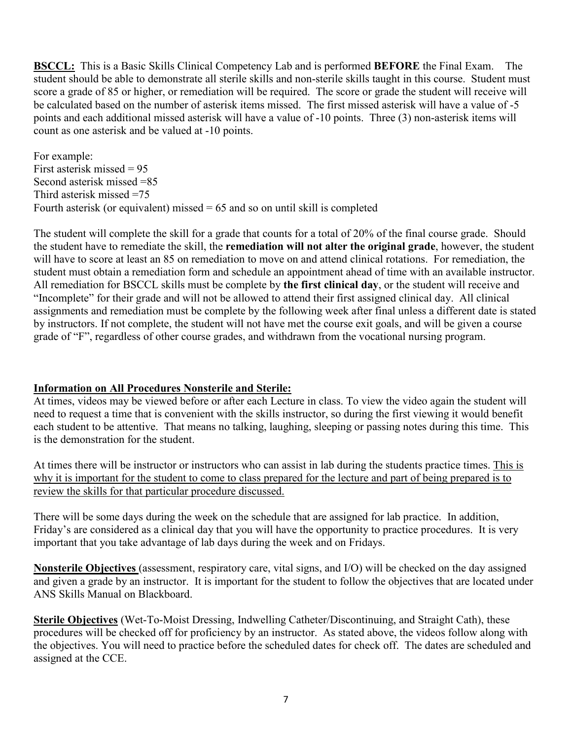**BSCCL:** This is a Basic Skills Clinical Competency Lab and is performed **BEFORE** the Final Exam. The student should be able to demonstrate all sterile skills and non-sterile skills taught in this course. Student must score a grade of 85 or higher, or remediation will be required. The score or grade the student will receive will be calculated based on the number of asterisk items missed. The first missed asterisk will have a value of -5 points and each additional missed asterisk will have a value of -10 points. Three (3) non-asterisk items will count as one asterisk and be valued at -10 points.

For example: First asterisk missed = 95 Second asterisk missed =85 Third asterisk missed =75 Fourth asterisk (or equivalent) missed  $= 65$  and so on until skill is completed

The student will complete the skill for a grade that counts for a total of 20% of the final course grade. Should the student have to remediate the skill, the **remediation will not alter the original grade**, however, the student will have to score at least an 85 on remediation to move on and attend clinical rotations. For remediation, the student must obtain a remediation form and schedule an appointment ahead of time with an available instructor. All remediation for BSCCL skills must be complete by **the first clinical day**, or the student will receive and "Incomplete" for their grade and will not be allowed to attend their first assigned clinical day. All clinical assignments and remediation must be complete by the following week after final unless a different date is stated by instructors. If not complete, the student will not have met the course exit goals, and will be given a course grade of "F", regardless of other course grades, and withdrawn from the vocational nursing program.

### **Information on All Procedures Nonsterile and Sterile:**

At times, videos may be viewed before or after each Lecture in class. To view the video again the student will need to request a time that is convenient with the skills instructor, so during the first viewing it would benefit each student to be attentive. That means no talking, laughing, sleeping or passing notes during this time. This is the demonstration for the student.

At times there will be instructor or instructors who can assist in lab during the students practice times. This is why it is important for the student to come to class prepared for the lecture and part of being prepared is to review the skills for that particular procedure discussed.

There will be some days during the week on the schedule that are assigned for lab practice. In addition, Friday's are considered as a clinical day that you will have the opportunity to practice procedures. It is very important that you take advantage of lab days during the week and on Fridays.

**Nonsterile Objectives** (assessment, respiratory care, vital signs, and I/O) will be checked on the day assigned and given a grade by an instructor. It is important for the student to follow the objectives that are located under ANS Skills Manual on Blackboard.

**Sterile Objectives** (Wet-To-Moist Dressing, Indwelling Catheter/Discontinuing, and Straight Cath), these procedures will be checked off for proficiency by an instructor. As stated above, the videos follow along with the objectives. You will need to practice before the scheduled dates for check off. The dates are scheduled and assigned at the CCE.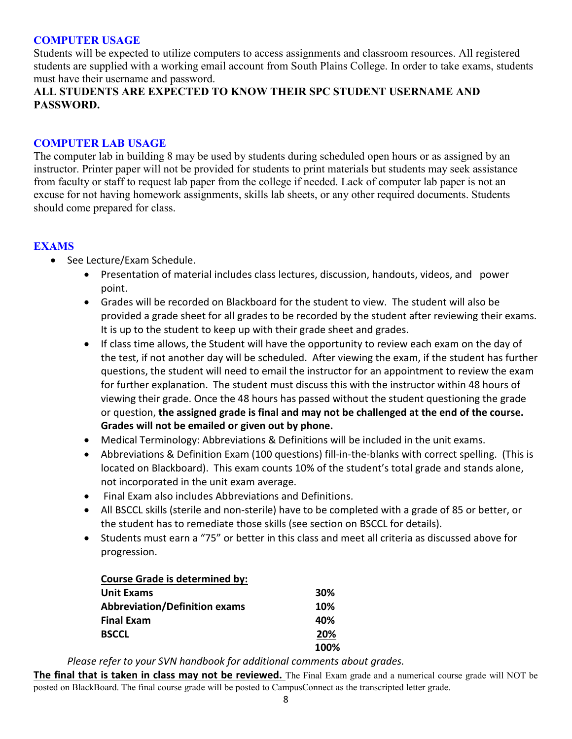### **COMPUTER USAGE**

Students will be expected to utilize computers to access assignments and classroom resources. All registered students are supplied with a working email account from South Plains College. In order to take exams, students must have their username and password.

### **ALL STUDENTS ARE EXPECTED TO KNOW THEIR SPC STUDENT USERNAME AND PASSWORD.**

#### **COMPUTER LAB USAGE**

The computer lab in building 8 may be used by students during scheduled open hours or as assigned by an instructor. Printer paper will not be provided for students to print materials but students may seek assistance from faculty or staff to request lab paper from the college if needed. Lack of computer lab paper is not an excuse for not having homework assignments, skills lab sheets, or any other required documents. Students should come prepared for class.

#### **EXAMS**

- See Lecture/Exam Schedule.
	- Presentation of material includes class lectures, discussion, handouts, videos, and power point.
	- Grades will be recorded on Blackboard for the student to view. The student will also be provided a grade sheet for all grades to be recorded by the student after reviewing their exams. It is up to the student to keep up with their grade sheet and grades.
	- If class time allows, the Student will have the opportunity to review each exam on the day of the test, if not another day will be scheduled. After viewing the exam, if the student has further questions, the student will need to email the instructor for an appointment to review the exam for further explanation. The student must discuss this with the instructor within 48 hours of viewing their grade. Once the 48 hours has passed without the student questioning the grade or question, **the assigned grade is final and may not be challenged at the end of the course. Grades will not be emailed or given out by phone.**
	- Medical Terminology: Abbreviations & Definitions will be included in the unit exams.
	- Abbreviations & Definition Exam (100 questions) fill-in-the-blanks with correct spelling. (This is located on Blackboard). This exam counts 10% of the student's total grade and stands alone, not incorporated in the unit exam average.
	- Final Exam also includes Abbreviations and Definitions.
	- All BSCCL skills (sterile and non-sterile) have to be completed with a grade of 85 or better, or the student has to remediate those skills (see section on BSCCL for details).
	- Students must earn a "75" or better in this class and meet all criteria as discussed above for progression.

|                   | <b>Course Grade is determined by:</b> |      |
|-------------------|---------------------------------------|------|
| <b>Unit Exams</b> |                                       | 30%  |
|                   | <b>Abbreviation/Definition exams</b>  | 10%  |
| <b>Final Exam</b> |                                       | 40%  |
| <b>BSCCL</b>      |                                       | 20%  |
|                   |                                       | 100% |

*Please refer to your SVN handbook for additional comments about grades.*

**The final that is taken in class may not be reviewed.** The Final Exam grade and a numerical course grade will NOT be posted on BlackBoard. The final course grade will be posted to CampusConnect as the transcripted letter grade.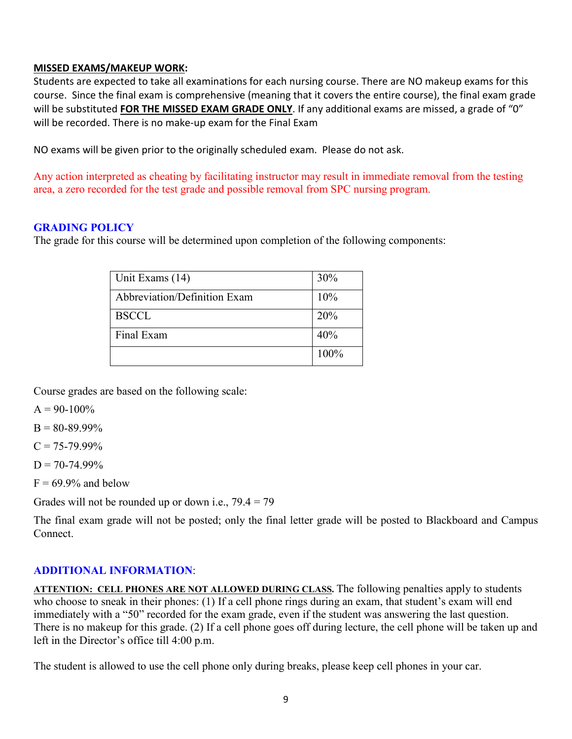#### **MISSED EXAMS/MAKEUP WORK:**

Students are expected to take all examinations for each nursing course. There are NO makeup exams for this course. Since the final exam is comprehensive (meaning that it covers the entire course), the final exam grade will be substituted **FOR THE MISSED EXAM GRADE ONLY**. If any additional exams are missed, a grade of "0" will be recorded. There is no make-up exam for the Final Exam

NO exams will be given prior to the originally scheduled exam. Please do not ask.

Any action interpreted as cheating by facilitating instructor may result in immediate removal from the testing area, a zero recorded for the test grade and possible removal from SPC nursing program.

### **GRADING POLICY**

The grade for this course will be determined upon completion of the following components:

| Unit Exams (14)              | 30%  |
|------------------------------|------|
| Abbreviation/Definition Exam | 10%  |
| <b>BSCCL</b>                 | 20%  |
| Final Exam                   | 40%  |
|                              | 100% |

Course grades are based on the following scale:

 $A = 90-100%$ 

 $B = 80 - 89.99\%$ 

 $C = 75 - 79.99\%$ 

 $D = 70 - 74.99\%$ 

 $F = 69.9\%$  and below

Grades will not be rounded up or down i.e.,  $79.4 = 79$ 

The final exam grade will not be posted; only the final letter grade will be posted to Blackboard and Campus Connect.

#### **ADDITIONAL INFORMATION**:

**ATTENTION: CELL PHONES ARE NOT ALLOWED DURING CLASS.** The following penalties apply to students who choose to sneak in their phones: (1) If a cell phone rings during an exam, that student's exam will end immediately with a "50" recorded for the exam grade, even if the student was answering the last question. There is no makeup for this grade. (2) If a cell phone goes off during lecture, the cell phone will be taken up and left in the Director's office till 4:00 p.m.

The student is allowed to use the cell phone only during breaks, please keep cell phones in your car.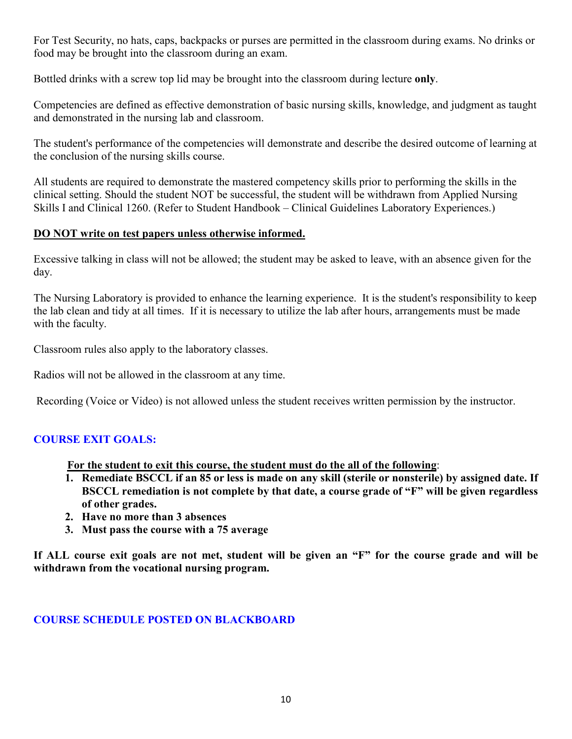For Test Security, no hats, caps, backpacks or purses are permitted in the classroom during exams. No drinks or food may be brought into the classroom during an exam.

Bottled drinks with a screw top lid may be brought into the classroom during lecture **only**.

Competencies are defined as effective demonstration of basic nursing skills, knowledge, and judgment as taught and demonstrated in the nursing lab and classroom.

The student's performance of the competencies will demonstrate and describe the desired outcome of learning at the conclusion of the nursing skills course.

All students are required to demonstrate the mastered competency skills prior to performing the skills in the clinical setting. Should the student NOT be successful, the student will be withdrawn from Applied Nursing Skills I and Clinical 1260. (Refer to Student Handbook – Clinical Guidelines Laboratory Experiences.)

### **DO NOT write on test papers unless otherwise informed.**

Excessive talking in class will not be allowed; the student may be asked to leave, with an absence given for the day.

The Nursing Laboratory is provided to enhance the learning experience. It is the student's responsibility to keep the lab clean and tidy at all times. If it is necessary to utilize the lab after hours, arrangements must be made with the faculty.

Classroom rules also apply to the laboratory classes.

Radios will not be allowed in the classroom at any time.

Recording (Voice or Video) is not allowed unless the student receives written permission by the instructor.

## **COURSE EXIT GOALS:**

**For the student to exit this course, the student must do the all of the following**:

- **1. Remediate BSCCL if an 85 or less is made on any skill (sterile or nonsterile) by assigned date. If BSCCL remediation is not complete by that date, a course grade of "F" will be given regardless of other grades.**
- **2. Have no more than 3 absences**
- **3. Must pass the course with a 75 average**

**If ALL course exit goals are not met, student will be given an "F" for the course grade and will be withdrawn from the vocational nursing program.** 

## **COURSE SCHEDULE POSTED ON BLACKBOARD**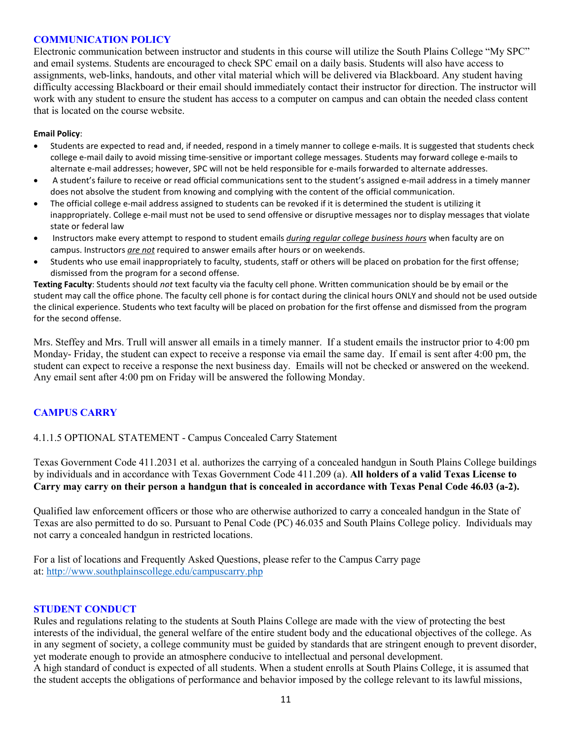#### **COMMUNICATION POLICY**

Electronic communication between instructor and students in this course will utilize the South Plains College "My SPC" and email systems. Students are encouraged to check SPC email on a daily basis. Students will also have access to assignments, web-links, handouts, and other vital material which will be delivered via Blackboard. Any student having difficulty accessing Blackboard or their email should immediately contact their instructor for direction. The instructor will work with any student to ensure the student has access to a computer on campus and can obtain the needed class content that is located on the course website.

#### **Email Policy**:

- Students are expected to read and, if needed, respond in a timely manner to college e-mails. It is suggested that students check college e-mail daily to avoid missing time-sensitive or important college messages. Students may forward college e-mails to alternate e-mail addresses; however, SPC will not be held responsible for e-mails forwarded to alternate addresses.
- A student's failure to receive or read official communications sent to the student's assigned e-mail address in a timely manner does not absolve the student from knowing and complying with the content of the official communication.
- The official college e-mail address assigned to students can be revoked if it is determined the student is utilizing it inappropriately. College e-mail must not be used to send offensive or disruptive messages nor to display messages that violate state or federal law
- Instructors make every attempt to respond to student emails *during regular college business hours* when faculty are on campus. Instructors *are not* required to answer emails after hours or on weekends.
- Students who use email inappropriately to faculty, students, staff or others will be placed on probation for the first offense; dismissed from the program for a second offense.

**Texting Faculty**: Students should *not* text faculty via the faculty cell phone. Written communication should be by email or the student may call the office phone. The faculty cell phone is for contact during the clinical hours ONLY and should not be used outside the clinical experience. Students who text faculty will be placed on probation for the first offense and dismissed from the program for the second offense.

Mrs. Steffey and Mrs. Trull will answer all emails in a timely manner. If a student emails the instructor prior to 4:00 pm Monday- Friday, the student can expect to receive a response via email the same day. If email is sent after 4:00 pm, the student can expect to receive a response the next business day. Emails will not be checked or answered on the weekend. Any email sent after 4:00 pm on Friday will be answered the following Monday.

### **CAMPUS CARRY**

#### 4.1.1.5 OPTIONAL STATEMENT - Campus Concealed Carry Statement

Texas Government Code 411.2031 et al. authorizes the carrying of a concealed handgun in South Plains College buildings by individuals and in accordance with Texas Government Code 411.209 (a). **All holders of a valid Texas License to** Carry may carry on their person a handgun that is concealed in accordance with Texas Penal Code 46.03 (a-2).

Qualified law enforcement officers or those who are otherwise authorized to carry a concealed handgun in the State of Texas are also permitted to do so. Pursuant to Penal Code (PC) 46.035 and South Plains College policy. Individuals may not carry a concealed handgun in restricted locations.

For a list of locations and Frequently Asked Questions, please refer to the Campus Carry page at: <http://www.southplainscollege.edu/campuscarry.php>

#### **STUDENT CONDUCT**

Rules and regulations relating to the students at South Plains College are made with the view of protecting the best interests of the individual, the general welfare of the entire student body and the educational objectives of the college. As in any segment of society, a college community must be guided by standards that are stringent enough to prevent disorder, yet moderate enough to provide an atmosphere conducive to intellectual and personal development.

A high standard of conduct is expected of all students. When a student enrolls at South Plains College, it is assumed that the student accepts the obligations of performance and behavior imposed by the college relevant to its lawful missions,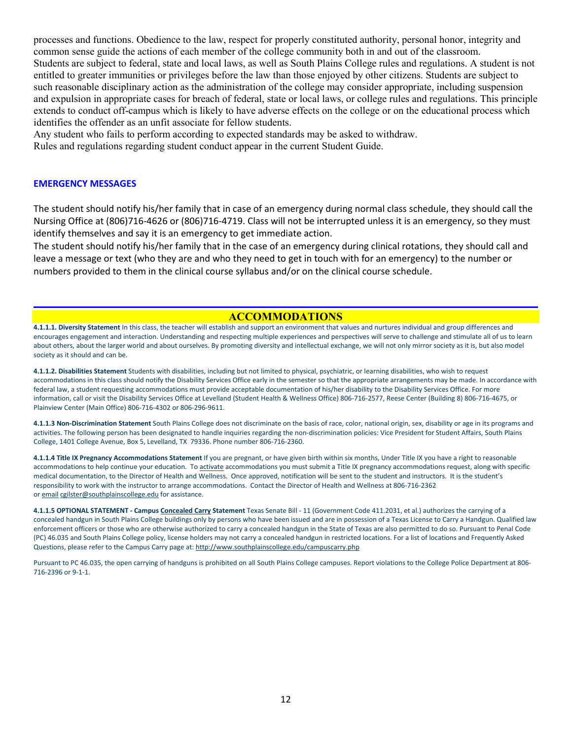processes and functions. Obedience to the law, respect for properly constituted authority, personal honor, integrity and common sense guide the actions of each member of the college community both in and out of the classroom. Students are subject to federal, state and local laws, as well as South Plains College rules and regulations. A student is not entitled to greater immunities or privileges before the law than those enjoyed by other citizens. Students are subject to such reasonable disciplinary action as the administration of the college may consider appropriate, including suspension and expulsion in appropriate cases for breach of federal, state or local laws, or college rules and regulations. This principle extends to conduct off-campus which is likely to have adverse effects on the college or on the educational process which identifies the offender as an unfit associate for fellow students.

Any student who fails to perform according to expected standards may be asked to withdraw.

Rules and regulations regarding student conduct appear in the current Student Guide.

#### **EMERGENCY MESSAGES**

The student should notify his/her family that in case of an emergency during normal class schedule, they should call the Nursing Office at (806)716-4626 or (806)716-4719. Class will not be interrupted unless it is an emergency, so they must identify themselves and say it is an emergency to get immediate action.

The student should notify his/her family that in the case of an emergency during clinical rotations, they should call and leave a message or text (who they are and who they need to get in touch with for an emergency) to the number or numbers provided to them in the clinical course syllabus and/or on the clinical course schedule.

#### **ACCOMMODATIONS**

**4.1.1.1. Diversity Statement** In this class, the teacher will establish and support an environment that values and nurtures individual and group differences and encourages engagement and interaction. Understanding and respecting multiple experiences and perspectives will serve to challenge and stimulate all of us to learn about others, about the larger world and about ourselves. By promoting diversity and intellectual exchange, we will not only mirror society as it is, but also model society as it should and can be.

**4.1.1.2. Disabilities Statement** Students with disabilities, including but not limited to physical, psychiatric, or learning disabilities, who wish to request accommodations in this class should notify the Disability Services Office early in the semester so that the appropriate arrangements may be made. In accordance with federal law, a student requesting accommodations must provide acceptable documentation of his/her disability to the Disability Services Office. For more information, call or visit the Disability Services Office at Levelland (Student Health & Wellness Office) 806-716-2577, Reese Center (Building 8) 806-716-4675, or Plainview Center (Main Office) 806-716-4302 or 806-296-9611.

**4.1.1.3 Non-Discrimination Statement** South Plains College does not discriminate on the basis of race, color, national origin, sex, disability or age in its programs and activities. The following person has been designated to handle inquiries regarding the non-discrimination policies: Vice President for Student Affairs, South Plains College, 1401 College Avenue, Box 5, Levelland, TX 79336. Phone number 806-716-2360.

**4.1.1.4 Title IX Pregnancy Accommodations Statement** If you are pregnant, or have given birth within six months, Under Title IX you have a right to reasonable accommodations to help continue your education. To [activate](http://www.southplainscollege.edu/employees/manualshandbooks/facultyhandbook/sec4.php) accommodations you must submit a Title IX pregnancy accommodations request, along with specific medical documentation, to the Director of Health and Wellness. Once approved, notification will be sent to the student and instructors. It is the student's responsibility to work with the instructor to arrange accommodations. Contact the Director of Health and Wellness at 806-716-2362 or [email](http://www.southplainscollege.edu/employees/manualshandbooks/facultyhandbook/sec4.php) [cgilster@southplainscollege.edu](mailto:cgilster@southplainscollege.edu) for assistance.

**4.1.1.5 OPTIONAL STATEMENT - Campus [Concealed Carry](http://www.southplainscollege.edu/employees/manualshandbooks/facultyhandbook/sec4.php) Statement** Texas Senate Bill - 11 (Government Code 411.2031, et al.) authorizes the carrying of a concealed handgun in South Plains College buildings only by persons who have been issued and are in possession of a Texas License to Carry a Handgun. Qualified law enforcement officers or those who are otherwise authorized to carry a concealed handgun in the State of Texas are also permitted to do so. Pursuant to Penal Code (PC) 46.035 and South Plains College policy, license holders may not carry a concealed handgun in restricted locations. For a list of locations and Frequently Asked Questions, please refer to the Campus Carry page at: <http://www.southplainscollege.edu/campuscarry.php>

Pursuant to PC 46.035, the open carrying of handguns is prohibited on all South Plains College campuses. Report violations to the College Police Department at 806- 716-2396 or 9-1-1.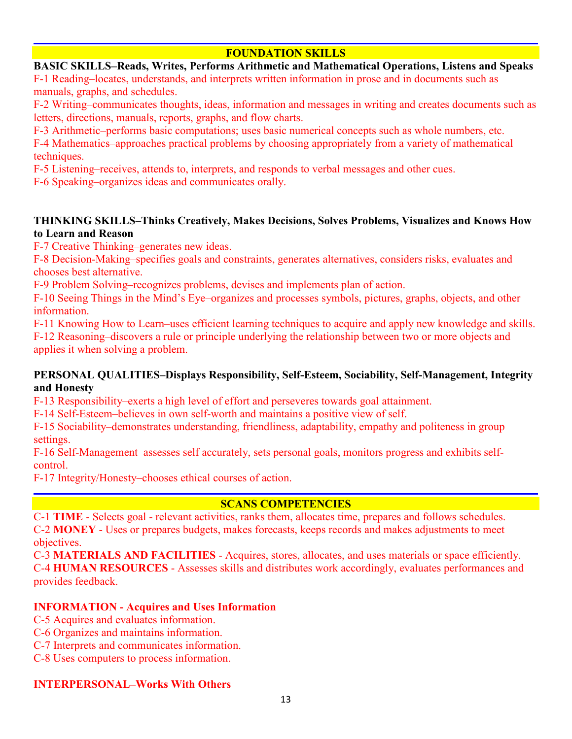### **FOUNDATION SKILLS**

#### **BASIC SKILLS–Reads, Writes, Performs Arithmetic and Mathematical Operations, Listens and Speaks**

F-1 Reading–locates, understands, and interprets written information in prose and in documents such as manuals, graphs, and schedules.

F-2 Writing–communicates thoughts, ideas, information and messages in writing and creates documents such as letters, directions, manuals, reports, graphs, and flow charts.

F-3 Arithmetic–performs basic computations; uses basic numerical concepts such as whole numbers, etc.

F-4 Mathematics–approaches practical problems by choosing appropriately from a variety of mathematical techniques.

F-5 Listening–receives, attends to, interprets, and responds to verbal messages and other cues.

F-6 Speaking–organizes ideas and communicates orally.

### **THINKING SKILLS–Thinks Creatively, Makes Decisions, Solves Problems, Visualizes and Knows How to Learn and Reason**

F-7 Creative Thinking–generates new ideas.

F-8 Decision-Making–specifies goals and constraints, generates alternatives, considers risks, evaluates and chooses best alternative.

F-9 Problem Solving–recognizes problems, devises and implements plan of action.

F-10 Seeing Things in the Mind's Eye–organizes and processes symbols, pictures, graphs, objects, and other information.

F-11 Knowing How to Learn–uses efficient learning techniques to acquire and apply new knowledge and skills. F-12 Reasoning–discovers a rule or principle underlying the relationship between two or more objects and applies it when solving a problem.

### **PERSONAL QUALITIES–Displays Responsibility, Self-Esteem, Sociability, Self-Management, Integrity and Honesty**

F-13 Responsibility–exerts a high level of effort and perseveres towards goal attainment.

F-14 Self-Esteem–believes in own self-worth and maintains a positive view of self.

F-15 Sociability–demonstrates understanding, friendliness, adaptability, empathy and politeness in group settings.

F-16 Self-Management–assesses self accurately, sets personal goals, monitors progress and exhibits selfcontrol.

F-17 Integrity/Honesty–chooses ethical courses of action.

### **SCANS COMPETENCIES**

C-1 **TIME** - Selects goal - relevant activities, ranks them, allocates time, prepares and follows schedules. C-2 **MONEY** - Uses or prepares budgets, makes forecasts, keeps records and makes adjustments to meet objectives.

C-3 **MATERIALS AND FACILITIES** - Acquires, stores, allocates, and uses materials or space efficiently. C-4 **HUMAN RESOURCES** - Assesses skills and distributes work accordingly, evaluates performances and provides feedback.

### **INFORMATION - Acquires and Uses Information**

- C-5 Acquires and evaluates information.
- C-6 Organizes and maintains information.
- C-7 Interprets and communicates information.
- C-8 Uses computers to process information.

### **INTERPERSONAL–Works With Others**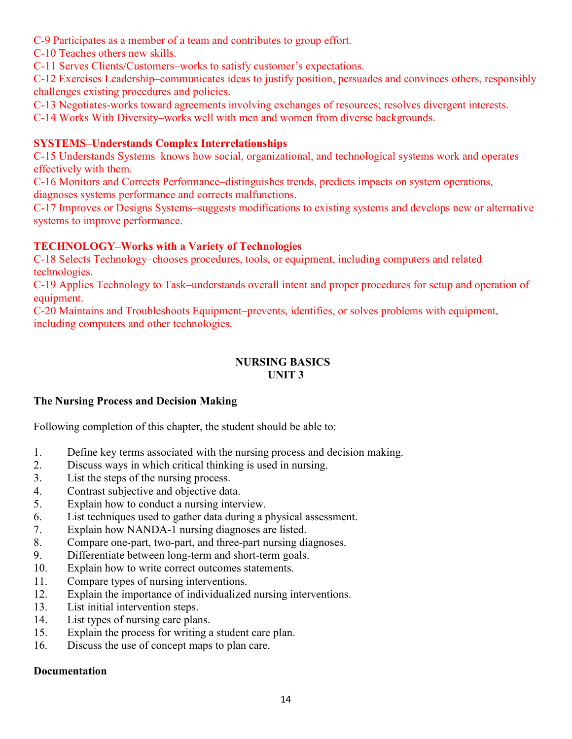- C-9 Participates as a member of a team and contributes to group effort.
- C-10 Teaches others new skills.

C-11 Serves Clients/Customers–works to satisfy customer's expectations.

C-12 Exercises Leadership–communicates ideas to justify position, persuades and convinces others, responsibly challenges existing procedures and policies.

C-13 Negotiates-works toward agreements involving exchanges of resources; resolves divergent interests.

C-14 Works With Diversity–works well with men and women from diverse backgrounds.

### **SYSTEMS–Understands Complex Interrelationships**

C-15 Understands Systems–knows how social, organizational, and technological systems work and operates effectively with them.

C-16 Monitors and Corrects Performance–distinguishes trends, predicts impacts on system operations, diagnoses systems performance and corrects malfunctions.

C-17 Improves or Designs Systems–suggests modifications to existing systems and develops new or alternative systems to improve performance.

### **TECHNOLOGY–Works with a Variety of Technologies**

C-18 Selects Technology–chooses procedures, tools, or equipment, including computers and related technologies.

C-19 Applies Technology to Task–understands overall intent and proper procedures for setup and operation of equipment.

C-20 Maintains and Troubleshoots Equipment–prevents, identifies, or solves problems with equipment, including computers and other technologies.

#### **NURSING BASICS UNIT 3**

### **The Nursing Process and Decision Making**

Following completion of this chapter, the student should be able to:

- 1. Define key terms associated with the nursing process and decision making.
- 2. Discuss ways in which critical thinking is used in nursing.
- 3. List the steps of the nursing process.
- 4. Contrast subjective and objective data.
- 5. Explain how to conduct a nursing interview.
- 6. List techniques used to gather data during a physical assessment.
- 7. Explain how NANDA-1 nursing diagnoses are listed.
- 8. Compare one-part, two-part, and three-part nursing diagnoses.
- 9. Differentiate between long-term and short-term goals.
- 10. Explain how to write correct outcomes statements.
- 11. Compare types of nursing interventions.
- 12. Explain the importance of individualized nursing interventions.
- 13. List initial intervention steps.
- 14. List types of nursing care plans.
- 15. Explain the process for writing a student care plan.
- 16. Discuss the use of concept maps to plan care.

#### **Documentation**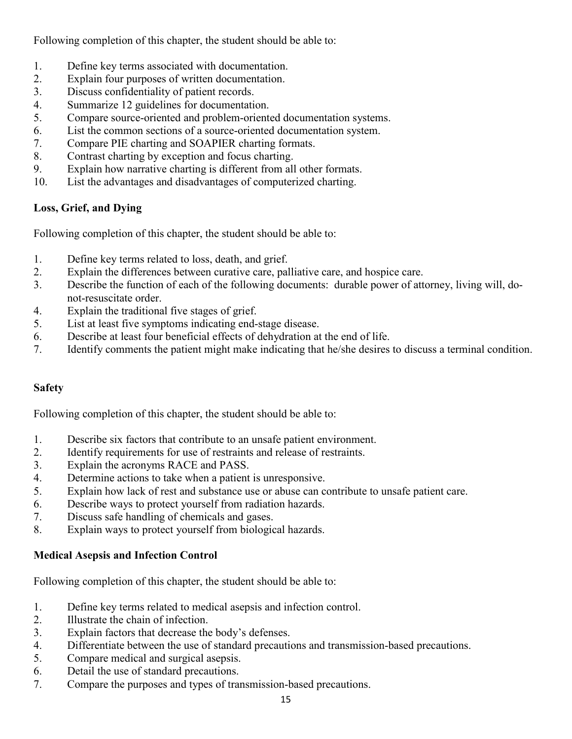Following completion of this chapter, the student should be able to:

- 1. Define key terms associated with documentation.
- 2. Explain four purposes of written documentation.
- 3. Discuss confidentiality of patient records.
- 4. Summarize 12 guidelines for documentation.
- 5. Compare source-oriented and problem-oriented documentation systems.
- 6. List the common sections of a source-oriented documentation system.
- 7. Compare PIE charting and SOAPIER charting formats.
- 8. Contrast charting by exception and focus charting.
- 9. Explain how narrative charting is different from all other formats.
- 10. List the advantages and disadvantages of computerized charting.

# **Loss, Grief, and Dying**

Following completion of this chapter, the student should be able to:

- 1. Define key terms related to loss, death, and grief.
- 2. Explain the differences between curative care, palliative care, and hospice care.
- 3. Describe the function of each of the following documents: durable power of attorney, living will, donot-resuscitate order.
- 4. Explain the traditional five stages of grief.
- 5. List at least five symptoms indicating end-stage disease.
- 6. Describe at least four beneficial effects of dehydration at the end of life.
- 7. Identify comments the patient might make indicating that he/she desires to discuss a terminal condition.

# **Safety**

Following completion of this chapter, the student should be able to:

- 1. Describe six factors that contribute to an unsafe patient environment.
- 2. Identify requirements for use of restraints and release of restraints.
- 3. Explain the acronyms RACE and PASS.
- 4. Determine actions to take when a patient is unresponsive.
- 5. Explain how lack of rest and substance use or abuse can contribute to unsafe patient care.
- 6. Describe ways to protect yourself from radiation hazards.
- 7. Discuss safe handling of chemicals and gases.
- 8. Explain ways to protect yourself from biological hazards.

## **Medical Asepsis and Infection Control**

- 1. Define key terms related to medical asepsis and infection control.
- 2. Illustrate the chain of infection.
- 3. Explain factors that decrease the body's defenses.
- 4. Differentiate between the use of standard precautions and transmission-based precautions.
- 5. Compare medical and surgical asepsis.
- 6. Detail the use of standard precautions.
- 7. Compare the purposes and types of transmission-based precautions.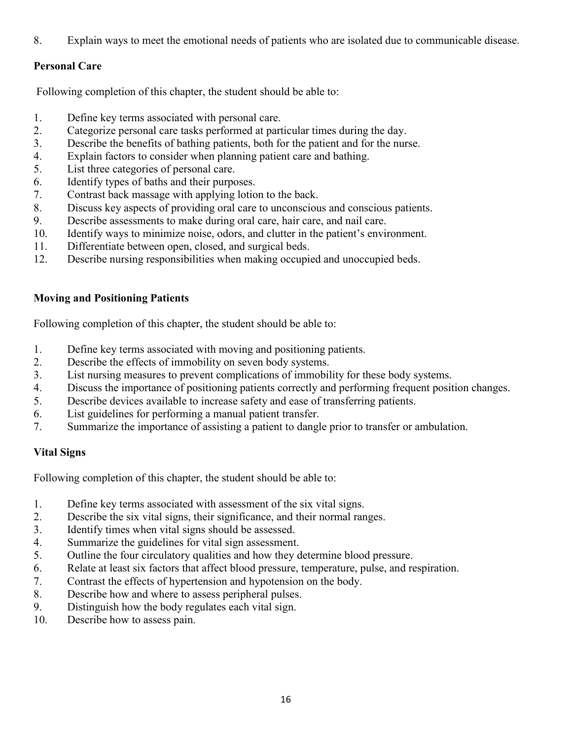8. Explain ways to meet the emotional needs of patients who are isolated due to communicable disease.

### **Personal Care**

Following completion of this chapter, the student should be able to:

- 1. Define key terms associated with personal care.
- 2. Categorize personal care tasks performed at particular times during the day.
- 3. Describe the benefits of bathing patients, both for the patient and for the nurse.
- 4. Explain factors to consider when planning patient care and bathing.
- 5. List three categories of personal care.
- 6. Identify types of baths and their purposes.
- 7. Contrast back massage with applying lotion to the back.
- 8. Discuss key aspects of providing oral care to unconscious and conscious patients.
- 9. Describe assessments to make during oral care, hair care, and nail care.
- 10. Identify ways to minimize noise, odors, and clutter in the patient's environment.
- 11. Differentiate between open, closed, and surgical beds.
- 12. Describe nursing responsibilities when making occupied and unoccupied beds.

### **Moving and Positioning Patients**

Following completion of this chapter, the student should be able to:

- 1. Define key terms associated with moving and positioning patients.
- 2. Describe the effects of immobility on seven body systems.
- 3. List nursing measures to prevent complications of immobility for these body systems.
- 4. Discuss the importance of positioning patients correctly and performing frequent position changes.
- 5. Describe devices available to increase safety and ease of transferring patients.
- 6. List guidelines for performing a manual patient transfer.
- 7. Summarize the importance of assisting a patient to dangle prior to transfer or ambulation.

## **Vital Signs**

- 1. Define key terms associated with assessment of the six vital signs.
- 2. Describe the six vital signs, their significance, and their normal ranges.
- 3. Identify times when vital signs should be assessed.
- 4. Summarize the guidelines for vital sign assessment.
- 5. Outline the four circulatory qualities and how they determine blood pressure.
- 6. Relate at least six factors that affect blood pressure, temperature, pulse, and respiration.
- 7. Contrast the effects of hypertension and hypotension on the body.
- 8. Describe how and where to assess peripheral pulses.
- 9. Distinguish how the body regulates each vital sign.
- 10. Describe how to assess pain.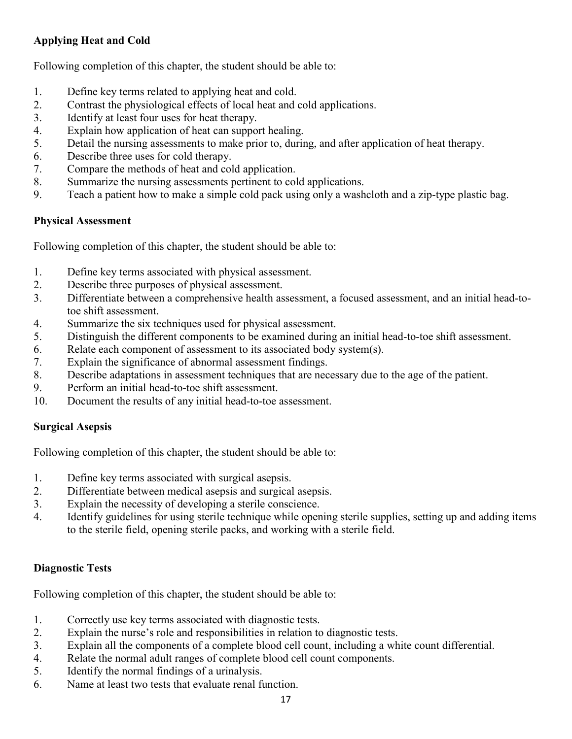# **Applying Heat and Cold**

Following completion of this chapter, the student should be able to:

- 1. Define key terms related to applying heat and cold.
- 2. Contrast the physiological effects of local heat and cold applications.
- 3. Identify at least four uses for heat therapy.
- 4. Explain how application of heat can support healing.
- 5. Detail the nursing assessments to make prior to, during, and after application of heat therapy.
- 6. Describe three uses for cold therapy.
- 7. Compare the methods of heat and cold application.
- 8. Summarize the nursing assessments pertinent to cold applications.
- 9. Teach a patient how to make a simple cold pack using only a washcloth and a zip-type plastic bag.

### **Physical Assessment**

Following completion of this chapter, the student should be able to:

- 1. Define key terms associated with physical assessment.
- 2. Describe three purposes of physical assessment.
- 3. Differentiate between a comprehensive health assessment, a focused assessment, and an initial head-totoe shift assessment.
- 4. Summarize the six techniques used for physical assessment.
- 5. Distinguish the different components to be examined during an initial head-to-toe shift assessment.
- 6. Relate each component of assessment to its associated body system(s).
- 7. Explain the significance of abnormal assessment findings.
- 8. Describe adaptations in assessment techniques that are necessary due to the age of the patient.
- 9. Perform an initial head-to-toe shift assessment.
- 10. Document the results of any initial head-to-toe assessment.

## **Surgical Asepsis**

Following completion of this chapter, the student should be able to:

- 1. Define key terms associated with surgical asepsis.
- 2. Differentiate between medical asepsis and surgical asepsis.
- 3. Explain the necessity of developing a sterile conscience.
- 4. Identify guidelines for using sterile technique while opening sterile supplies, setting up and adding items to the sterile field, opening sterile packs, and working with a sterile field.

## **Diagnostic Tests**

- 1. Correctly use key terms associated with diagnostic tests.
- 2. Explain the nurse's role and responsibilities in relation to diagnostic tests.
- 3. Explain all the components of a complete blood cell count, including a white count differential.
- 4. Relate the normal adult ranges of complete blood cell count components.
- 5. Identify the normal findings of a urinalysis.
- 6. Name at least two tests that evaluate renal function.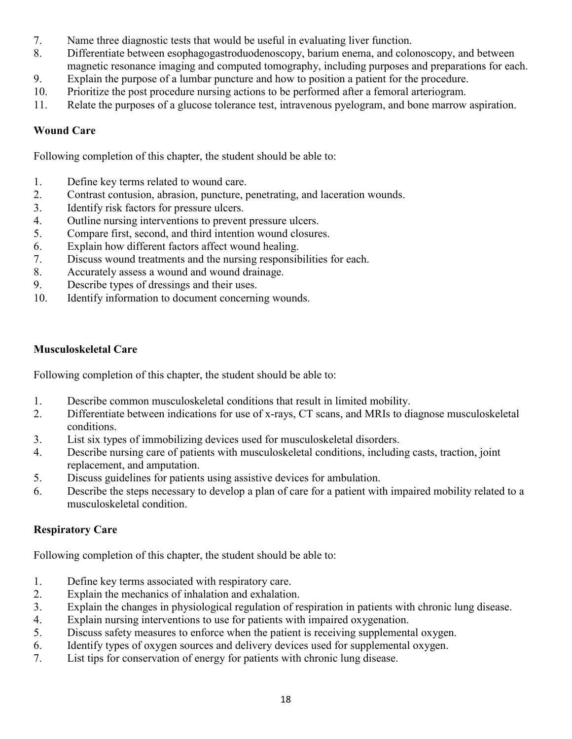- 7. Name three diagnostic tests that would be useful in evaluating liver function.
- 8. Differentiate between esophagogastroduodenoscopy, barium enema, and colonoscopy, and between magnetic resonance imaging and computed tomography, including purposes and preparations for each.
- 9. Explain the purpose of a lumbar puncture and how to position a patient for the procedure.
- 10. Prioritize the post procedure nursing actions to be performed after a femoral arteriogram.
- 11. Relate the purposes of a glucose tolerance test, intravenous pyelogram, and bone marrow aspiration.

### **Wound Care**

Following completion of this chapter, the student should be able to:

- 1. Define key terms related to wound care.
- 2. Contrast contusion, abrasion, puncture, penetrating, and laceration wounds.
- 3. Identify risk factors for pressure ulcers.
- 4. Outline nursing interventions to prevent pressure ulcers.
- 5. Compare first, second, and third intention wound closures.
- 6. Explain how different factors affect wound healing.
- 7. Discuss wound treatments and the nursing responsibilities for each.
- 8. Accurately assess a wound and wound drainage.
- 9. Describe types of dressings and their uses.
- 10. Identify information to document concerning wounds.

### **Musculoskeletal Care**

Following completion of this chapter, the student should be able to:

- 1. Describe common musculoskeletal conditions that result in limited mobility.
- 2. Differentiate between indications for use of x-rays, CT scans, and MRIs to diagnose musculoskeletal conditions.
- 3. List six types of immobilizing devices used for musculoskeletal disorders.
- 4. Describe nursing care of patients with musculoskeletal conditions, including casts, traction, joint replacement, and amputation.
- 5. Discuss guidelines for patients using assistive devices for ambulation.
- 6. Describe the steps necessary to develop a plan of care for a patient with impaired mobility related to a musculoskeletal condition.

#### **Respiratory Care**

- 1. Define key terms associated with respiratory care.
- 2. Explain the mechanics of inhalation and exhalation.
- 3. Explain the changes in physiological regulation of respiration in patients with chronic lung disease.
- 4. Explain nursing interventions to use for patients with impaired oxygenation.
- 5. Discuss safety measures to enforce when the patient is receiving supplemental oxygen.
- 6. Identify types of oxygen sources and delivery devices used for supplemental oxygen.
- 7. List tips for conservation of energy for patients with chronic lung disease.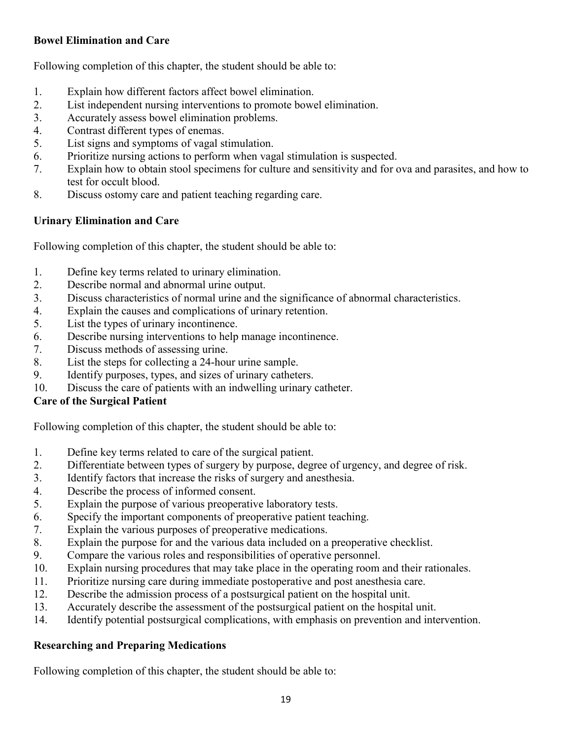### **Bowel Elimination and Care**

Following completion of this chapter, the student should be able to:

- 1. Explain how different factors affect bowel elimination.
- 2. List independent nursing interventions to promote bowel elimination.
- 3. Accurately assess bowel elimination problems.
- 4. Contrast different types of enemas.
- 5. List signs and symptoms of vagal stimulation.
- 6. Prioritize nursing actions to perform when vagal stimulation is suspected.
- 7. Explain how to obtain stool specimens for culture and sensitivity and for ova and parasites, and how to test for occult blood.
- 8. Discuss ostomy care and patient teaching regarding care.

## **Urinary Elimination and Care**

Following completion of this chapter, the student should be able to:

- 1. Define key terms related to urinary elimination.
- 2. Describe normal and abnormal urine output.
- 3. Discuss characteristics of normal urine and the significance of abnormal characteristics.
- 4. Explain the causes and complications of urinary retention.
- 5. List the types of urinary incontinence.
- 6. Describe nursing interventions to help manage incontinence.
- 7. Discuss methods of assessing urine.
- 8. List the steps for collecting a 24-hour urine sample.
- 9. Identify purposes, types, and sizes of urinary catheters.
- 10. Discuss the care of patients with an indwelling urinary catheter.

### **Care of the Surgical Patient**

Following completion of this chapter, the student should be able to:

- 1. Define key terms related to care of the surgical patient.
- 2. Differentiate between types of surgery by purpose, degree of urgency, and degree of risk.
- 3. Identify factors that increase the risks of surgery and anesthesia.
- 4. Describe the process of informed consent.
- 5. Explain the purpose of various preoperative laboratory tests.
- 6. Specify the important components of preoperative patient teaching.
- 7. Explain the various purposes of preoperative medications.
- 8. Explain the purpose for and the various data included on a preoperative checklist.
- 9. Compare the various roles and responsibilities of operative personnel.
- 10. Explain nursing procedures that may take place in the operating room and their rationales.
- 11. Prioritize nursing care during immediate postoperative and post anesthesia care.
- 12. Describe the admission process of a postsurgical patient on the hospital unit.
- 13. Accurately describe the assessment of the postsurgical patient on the hospital unit.
- 14. Identify potential postsurgical complications, with emphasis on prevention and intervention.

## **Researching and Preparing Medications**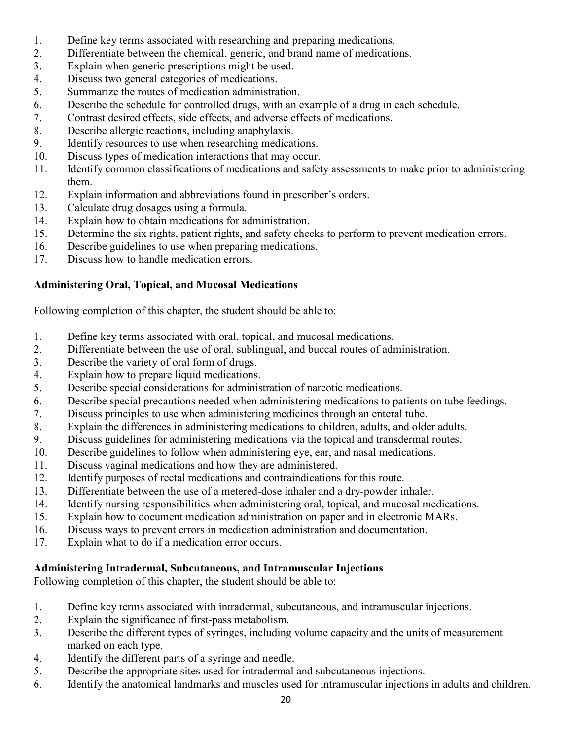- 1. Define key terms associated with researching and preparing medications.
- 2. Differentiate between the chemical, generic, and brand name of medications.
- 3. Explain when generic prescriptions might be used.
- 4. Discuss two general categories of medications.
- 5. Summarize the routes of medication administration.
- 6. Describe the schedule for controlled drugs, with an example of a drug in each schedule.
- 7. Contrast desired effects, side effects, and adverse effects of medications.
- 8. Describe allergic reactions, including anaphylaxis.
- 9. Identify resources to use when researching medications.
- 10. Discuss types of medication interactions that may occur.
- 11. Identify common classifications of medications and safety assessments to make prior to administering them.
- 12. Explain information and abbreviations found in prescriber's orders.
- 13. Calculate drug dosages using a formula.
- 14. Explain how to obtain medications for administration.
- 15. Determine the six rights, patient rights, and safety checks to perform to prevent medication errors.
- 16. Describe guidelines to use when preparing medications.
- 17. Discuss how to handle medication errors.

# **Administering Oral, Topical, and Mucosal Medications**

Following completion of this chapter, the student should be able to:

- 1. Define key terms associated with oral, topical, and mucosal medications.
- 2. Differentiate between the use of oral, sublingual, and buccal routes of administration.
- 3. Describe the variety of oral form of drugs.
- 4. Explain how to prepare liquid medications.
- 5. Describe special considerations for administration of narcotic medications.
- 6. Describe special precautions needed when administering medications to patients on tube feedings.
- 7. Discuss principles to use when administering medicines through an enteral tube.
- 8. Explain the differences in administering medications to children, adults, and older adults.
- 9. Discuss guidelines for administering medications via the topical and transdermal routes.
- 10. Describe guidelines to follow when administering eye, ear, and nasal medications.
- 11. Discuss vaginal medications and how they are administered.
- 12. Identify purposes of rectal medications and contraindications for this route.
- 13. Differentiate between the use of a metered-dose inhaler and a dry-powder inhaler.
- 14. Identify nursing responsibilities when administering oral, topical, and mucosal medications.
- 15. Explain how to document medication administration on paper and in electronic MARs.
- 16. Discuss ways to prevent errors in medication administration and documentation.
- 17. Explain what to do if a medication error occurs.

## **Administering Intradermal, Subcutaneous, and Intramuscular Injections**

- 1. Define key terms associated with intradermal, subcutaneous, and intramuscular injections.
- 2. Explain the significance of first-pass metabolism.
- 3. Describe the different types of syringes, including volume capacity and the units of measurement marked on each type.
- 4. Identify the different parts of a syringe and needle.
- 5. Describe the appropriate sites used for intradermal and subcutaneous injections.
- 6. Identify the anatomical landmarks and muscles used for intramuscular injections in adults and children.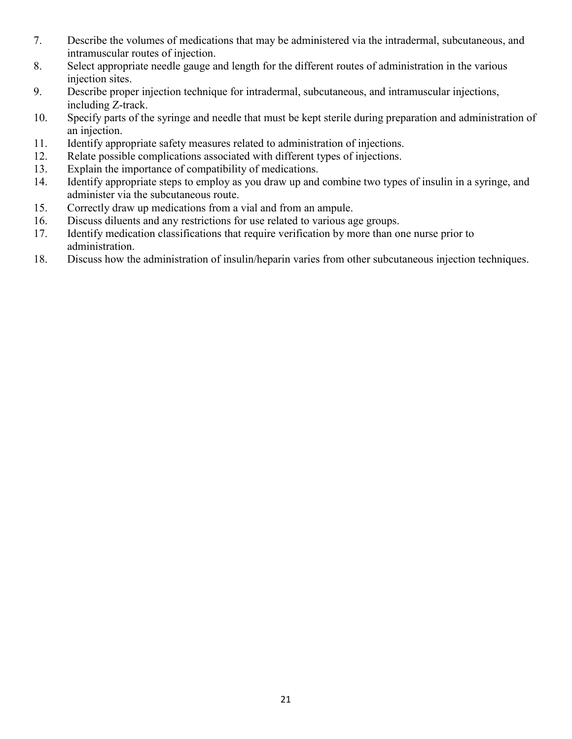- 7. Describe the volumes of medications that may be administered via the intradermal, subcutaneous, and intramuscular routes of injection.
- 8. Select appropriate needle gauge and length for the different routes of administration in the various injection sites.
- 9. Describe proper injection technique for intradermal, subcutaneous, and intramuscular injections, including Z-track.
- 10. Specify parts of the syringe and needle that must be kept sterile during preparation and administration of an injection.
- 11. Identify appropriate safety measures related to administration of injections.
- 12. Relate possible complications associated with different types of injections.
- 13. Explain the importance of compatibility of medications.
- 14. Identify appropriate steps to employ as you draw up and combine two types of insulin in a syringe, and administer via the subcutaneous route.
- 15. Correctly draw up medications from a vial and from an ampule.
- 16. Discuss diluents and any restrictions for use related to various age groups.
- 17. Identify medication classifications that require verification by more than one nurse prior to administration.
- 18. Discuss how the administration of insulin/heparin varies from other subcutaneous injection techniques.